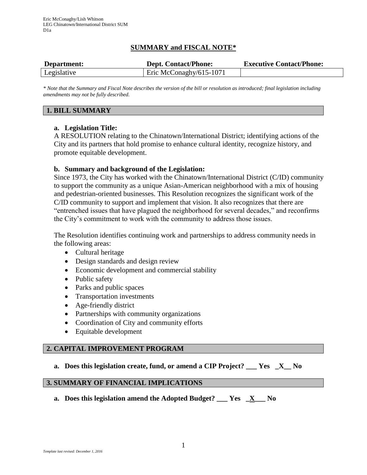# **SUMMARY and FISCAL NOTE\***

| Department: | <b>Dept. Contact/Phone:</b> | <b>Executive Contact/Phone:</b> |
|-------------|-----------------------------|---------------------------------|
| Legislative | Eric McConaghy/615-1071     |                                 |

*\* Note that the Summary and Fiscal Note describes the version of the bill or resolution as introduced; final legislation including amendments may not be fully described.*

## **1. BILL SUMMARY**

## **a. Legislation Title:**

A RESOLUTION relating to the Chinatown/International District; identifying actions of the City and its partners that hold promise to enhance cultural identity, recognize history, and promote equitable development.

## **b. Summary and background of the Legislation:**

Since 1973, the City has worked with the Chinatown/International District (C/ID) community to support the community as a unique Asian-American neighborhood with a mix of housing and pedestrian-oriented businesses. This Resolution recognizes the significant work of the C/ID community to support and implement that vision. It also recognizes that there are "entrenched issues that have plagued the neighborhood for several decades," and reconfirms the City's commitment to work with the community to address those issues.

The Resolution identifies continuing work and partnerships to address community needs in the following areas:

- Cultural heritage
- Design standards and design review
- Economic development and commercial stability
- Public safety
- Parks and public spaces
- Transportation investments
- Age-friendly district
- Partnerships with community organizations
- Coordination of City and community efforts
- Equitable development

### **2. CAPITAL IMPROVEMENT PROGRAM**

**a. Does this legislation create, fund, or amend a CIP Project? \_\_\_ Yes \_X\_\_ No**

# **3. SUMMARY OF FINANCIAL IMPLICATIONS**

**a. Does this legislation amend the Adopted Budget? \_\_\_ Yes \_X\_\_\_ No**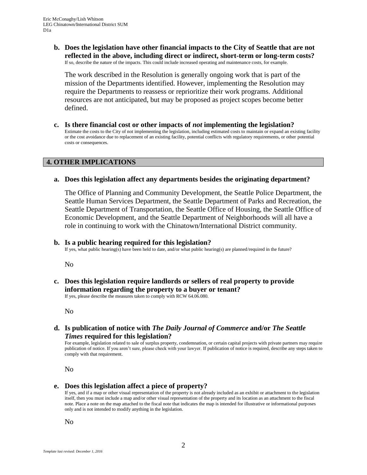**b. Does the legislation have other financial impacts to the City of Seattle that are not reflected in the above, including direct or indirect, short-term or long-term costs?** If so, describe the nature of the impacts. This could include increased operating and maintenance costs, for example.

The work described in the Resolution is generally ongoing work that is part of the mission of the Departments identified. However, implementing the Resolution may require the Departments to reassess or reprioritize their work programs. Additional resources are not anticipated, but may be proposed as project scopes become better defined.

**c. Is there financial cost or other impacts of** *not* **implementing the legislation?** Estimate the costs to the City of not implementing the legislation, including estimated costs to maintain or expand an existing facility or the cost avoidance due to replacement of an existing facility, potential conflicts with regulatory requirements, or other potential costs or consequences.

#### **4. OTHER IMPLICATIONS**

#### **a. Does this legislation affect any departments besides the originating department?**

The Office of Planning and Community Development, the Seattle Police Department, the Seattle Human Services Department, the Seattle Department of Parks and Recreation, the Seattle Department of Transportation, the Seattle Office of Housing, the Seattle Office of Economic Development, and the Seattle Department of Neighborhoods will all have a role in continuing to work with the Chinatown/International District community.

#### **b. Is a public hearing required for this legislation?**

If yes, what public hearing(s) have been held to date, and/or what public hearing(s) are planned/required in the future?

No

**c. Does this legislation require landlords or sellers of real property to provide information regarding the property to a buyer or tenant?**

If yes, please describe the measures taken to comply with RCW 64.06.080.

No

**d. Is publication of notice with** *The Daily Journal of Commerce* **and/or** *The Seattle Times* **required for this legislation?**

For example, legislation related to sale of surplus property, condemnation, or certain capital projects with private partners may require publication of notice. If you aren't sure, please check with your lawyer. If publication of notice is required, describe any steps taken to comply with that requirement.

No

#### **e. Does this legislation affect a piece of property?**

If yes, and if a map or other visual representation of the property is not already included as an exhibit or attachment to the legislation itself, then you must include a map and/or other visual representation of the property and its location as an attachment to the fiscal note. Place a note on the map attached to the fiscal note that indicates the map is intended for illustrative or informational purposes only and is not intended to modify anything in the legislation.

No